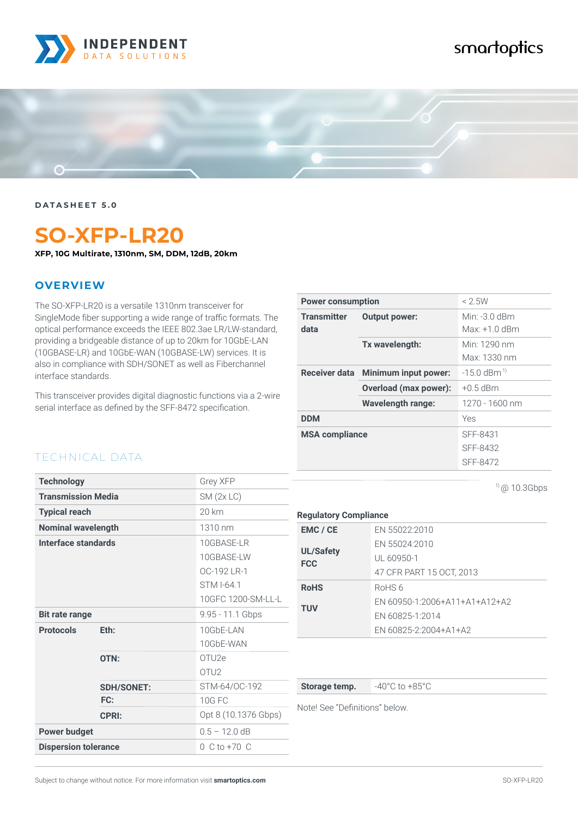

# smartoptics



**DATASHEET 5.0**

# **SO-XFP-LR20**

**XFP, 10G Multirate, 1310nm, SM, DDM, 12dB, 20km**

#### **OVERVIEW**

TECHNICAL DATA

The SO-XFP-LR20 is a versatile 1310nm transceiver for SingleMode fiber supporting a wide range of traffic formats. The optical performance exceeds the IEEE 802.3ae LR/LW-standard, providing a bridgeable distance of up to 20km for 10GbE-LAN (10GBASE-LR) and 10GbE-WAN (10GBASE-LW) services. It is also in compliance with SDH/SONET as well as Fiberchannel interface standards.

This transceiver provides digital diagnostic functions via a 2-wire serial interface as defined by the SFF-8472 specification.

| <b>Power consumption</b>   |                                    | $<$ 2.5W                           |
|----------------------------|------------------------------------|------------------------------------|
| <b>Transmitter</b><br>data | <b>Output power:</b>               | Min: -3 $0$ dBm<br>$Max: +1.0$ dBm |
|                            | Tx wavelength:                     | Min: 1290 nm<br>Max: 1330 nm       |
|                            | Receiver data Minimum input power: | $-15.0$ dBm <sup>1)</sup>          |
|                            | <b>Overload (max power):</b>       | $+0.5$ dBm                         |
|                            | Wavelength range:                  | 1270 - 1600 nm                     |
| <b>DDM</b>                 |                                    | Yes                                |
| <b>MSA compliance</b>      |                                    | SFF-8431                           |
|                            |                                    | SFF-8432                           |
|                            |                                    | SFF-8472                           |

 $1)$  @ 10.3Gbps

| <b>Technology</b>           |                   | Grey XFP             |
|-----------------------------|-------------------|----------------------|
| <b>Transmission Media</b>   |                   | SM(2x LC)            |
| <b>Typical reach</b>        |                   | 20 km                |
| <b>Nominal wavelength</b>   |                   | 1310 nm              |
| Interface standards         |                   | 10GBASE-LR           |
|                             |                   | 10GBASE-LW           |
|                             |                   | OC-192 LR-1          |
|                             |                   | STM I-641            |
|                             |                   | 10GFC 1200-SM-LL-L   |
| <b>Bit rate range</b>       |                   | 9.95 - 11.1 Gbps     |
| <b>Protocols</b>            | Eth:              | 10GbE-LAN            |
|                             |                   | 10GbE-WAN            |
|                             | OTN:              | OTU <sub>2e</sub>    |
|                             |                   | OTU <sub>2</sub>     |
|                             | <b>SDH/SONET:</b> | STM-64/OC-192        |
|                             | FC:               | <b>10G FC</b>        |
|                             | <b>CPRI:</b>      | Opt 8 (10.1376 Gbps) |
| <b>Power budget</b>         |                   | $0.5 - 12.0$ dB      |
| <b>Dispersion tolerance</b> |                   | $0 C$ to +70 $C$     |

| <b>Regulatory Compliance</b> |  |
|------------------------------|--|
|                              |  |

| EMC / CE         | EN 55022:2010                 |
|------------------|-------------------------------|
| <b>UL/Safety</b> | EN 55024:2010                 |
| <b>FCC</b>       | UL 60950-1                    |
|                  | 47 CFR PART 15 OCT, 2013      |
| <b>RoHS</b>      | RoHS 6                        |
| <b>TUV</b>       | EN 60950-1:2006+A11+A1+A12+A2 |
|                  | EN 60825-1:2014               |
|                  | EN 60825-2:2004+A1+A2         |

**Storage temp.**  $-40^{\circ}$ C to  $+85^{\circ}$ C

Note! See "Definitions" below.